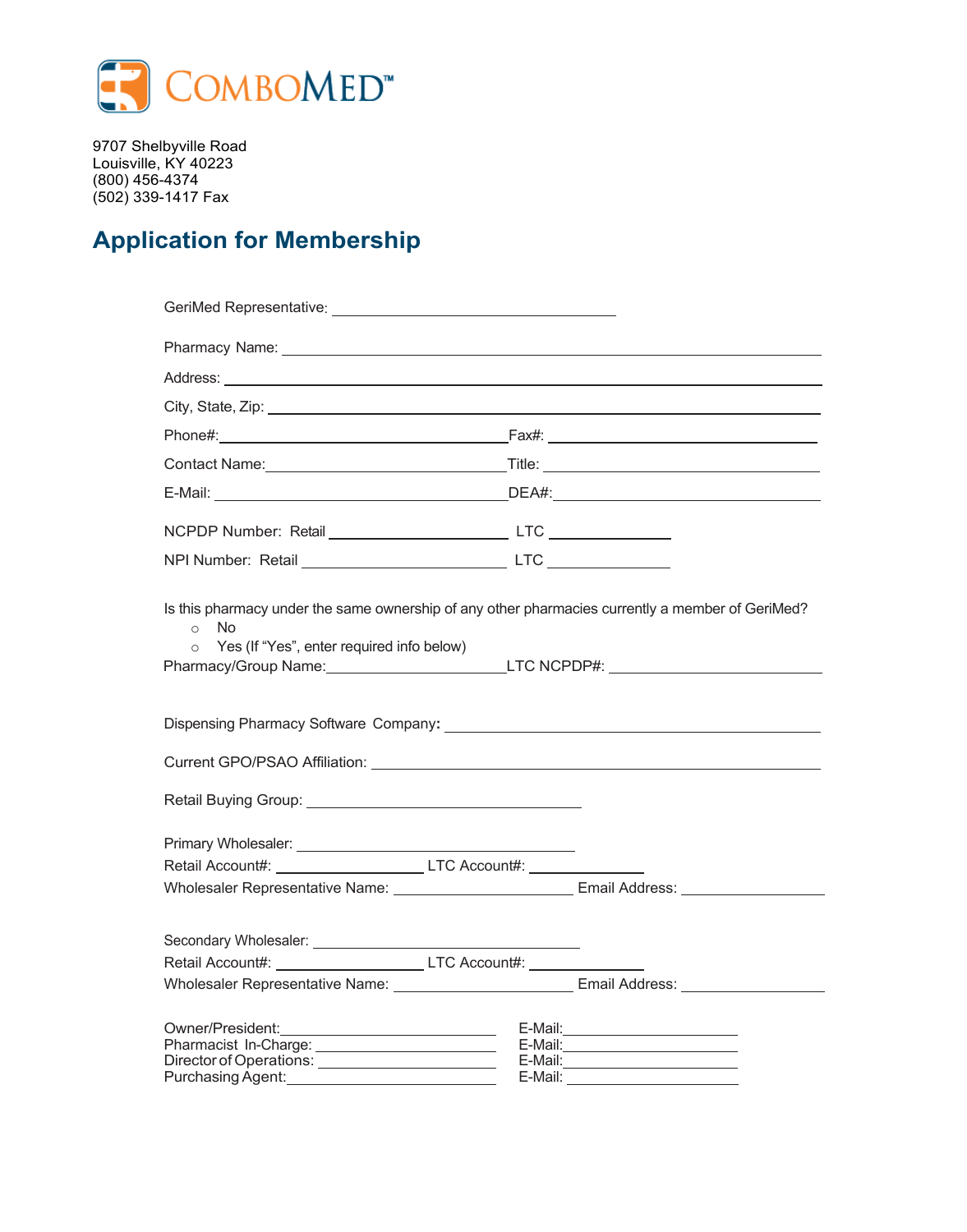

9707 Shelbyville Road Louisville, KY 40223 (800) 456-4374 (502) 339-1417 Fax

## **Application for Membership**

| City, State, Zip: 2008. 2009. 2009. 2009. 2010. 2010. 2010. 2010. 2010. 2010. 2010. 2010. 2010. 2010. 2010. 20                         |                                                                                                        |
|----------------------------------------------------------------------------------------------------------------------------------------|--------------------------------------------------------------------------------------------------------|
|                                                                                                                                        |                                                                                                        |
|                                                                                                                                        |                                                                                                        |
|                                                                                                                                        |                                                                                                        |
|                                                                                                                                        |                                                                                                        |
|                                                                                                                                        |                                                                                                        |
| <b>No</b><br>$\circ$<br>$\circ$ Yes (If "Yes", enter required info below)                                                              | Pharmacy/Group Name: Mannell LTC NCPDP#: Mannell LTC NCPDP#:                                           |
|                                                                                                                                        |                                                                                                        |
|                                                                                                                                        |                                                                                                        |
| Retail Account#: LTC Account#: LTC Account#:                                                                                           |                                                                                                        |
|                                                                                                                                        | Wholesaler Representative Name: ____________________________Email Address: ______                      |
| Retail Account#: _____________________________LTC Account#: ____________________                                                       |                                                                                                        |
|                                                                                                                                        | Wholesaler Representative Name: ________________________________ Email Address: ____________________   |
| Pharmacist In-Charge: ____________________________<br>Director of Operations: _________________________<br>Purchasing Agent: 1997-1997 | E-Mail: _____________________________<br>E-Mail: _______________________<br>$E$ -Mail: $\qquad \qquad$ |